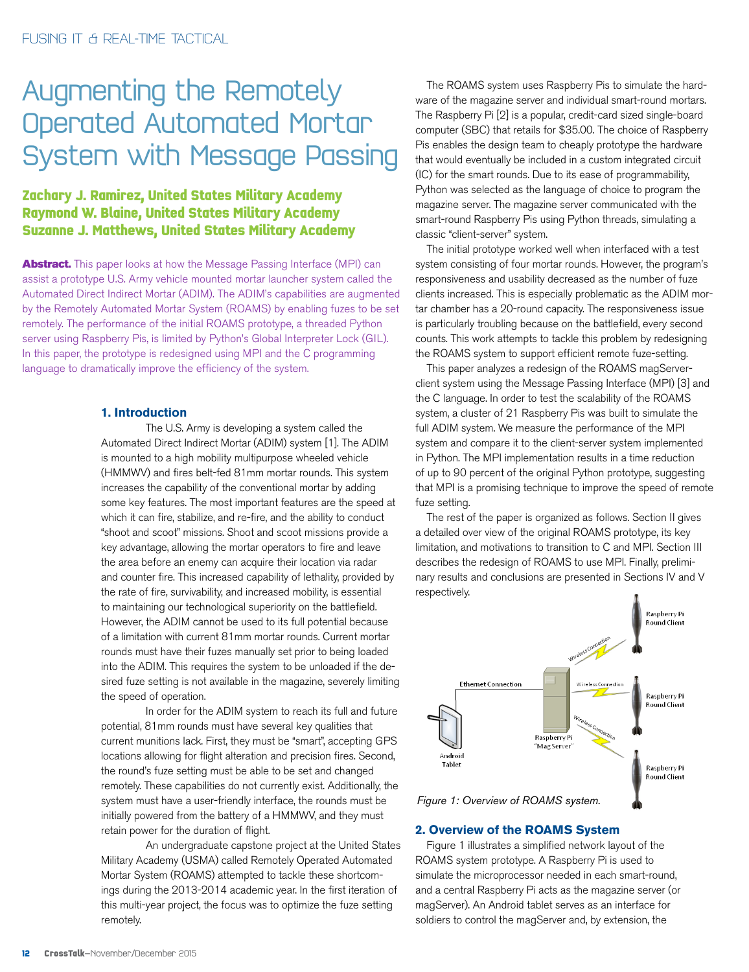# Augmenting the Remotely Operated Automated Mortar System with Message Passing

# **Zachary J. Ramirez, United States Military Academy Raymond W. Blaine, United States Military Academy Suzanne J. Matthews, United States Military Academy**

**Abstract.** This paper looks at how the Message Passing Interface (MPI) can assist a prototype U.S. Army vehicle mounted mortar launcher system called the Automated Direct Indirect Mortar (ADIM). The ADIM's capabilities are augmented by the Remotely Automated Mortar System (ROAMS) by enabling fuzes to be set remotely. The performance of the initial ROAMS prototype, a threaded Python server using Raspberry Pis, is limited by Python's Global Interpreter Lock (GIL). In this paper, the prototype is redesigned using MPI and the C programming language to dramatically improve the efficiency of the system.

## **1. Introduction**

The U.S. Army is developing a system called the Automated Direct Indirect Mortar (ADIM) system [1]. The ADIM is mounted to a high mobility multipurpose wheeled vehicle (HMMWV) and fires belt-fed 81mm mortar rounds. This system increases the capability of the conventional mortar by adding some key features. The most important features are the speed at which it can fire, stabilize, and re-fire, and the ability to conduct "shoot and scoot" missions. Shoot and scoot missions provide a key advantage, allowing the mortar operators to fire and leave the area before an enemy can acquire their location via radar and counter fire. This increased capability of lethality, provided by the rate of fire, survivability, and increased mobility, is essential to maintaining our technological superiority on the battlefield. However, the ADIM cannot be used to its full potential because of a limitation with current 81mm mortar rounds. Current mortar rounds must have their fuzes manually set prior to being loaded into the ADIM. This requires the system to be unloaded if the desired fuze setting is not available in the magazine, severely limiting the speed of operation.

In order for the ADIM system to reach its full and future potential, 81mm rounds must have several key qualities that current munitions lack. First, they must be "smart", accepting GPS locations allowing for flight alteration and precision fires. Second, the round's fuze setting must be able to be set and changed remotely. These capabilities do not currently exist. Additionally, the system must have a user-friendly interface, the rounds must be initially powered from the battery of a HMMWV, and they must retain power for the duration of flight.

An undergraduate capstone project at the United States Military Academy (USMA) called Remotely Operated Automated Mortar System (ROAMS) attempted to tackle these shortcomings during the 2013-2014 academic year. In the first iteration of this multi-year project, the focus was to optimize the fuze setting remotely.

The ROAMS system uses Raspberry Pis to simulate the hardware of the magazine server and individual smart-round mortars. The Raspberry Pi [2] is a popular, credit-card sized single-board computer (SBC) that retails for \$35.00. The choice of Raspberry Pis enables the design team to cheaply prototype the hardware that would eventually be included in a custom integrated circuit (IC) for the smart rounds. Due to its ease of programmability, Python was selected as the language of choice to program the magazine server. The magazine server communicated with the smart-round Raspberry Pis using Python threads, simulating a classic "client-server" system.

The initial prototype worked well when interfaced with a test system consisting of four mortar rounds. However, the program's responsiveness and usability decreased as the number of fuze clients increased. This is especially problematic as the ADIM mortar chamber has a 20-round capacity. The responsiveness issue is particularly troubling because on the battlefield, every second counts. This work attempts to tackle this problem by redesigning the ROAMS system to support efficient remote fuze-setting.

This paper analyzes a redesign of the ROAMS magServerclient system using the Message Passing Interface (MPI) [3] and the C language. In order to test the scalability of the ROAMS system, a cluster of 21 Raspberry Pis was built to simulate the full ADIM system. We measure the performance of the MPI system and compare it to the client-server system implemented in Python. The MPI implementation results in a time reduction of up to 90 percent of the original Python prototype, suggesting that MPI is a promising technique to improve the speed of remote fuze setting.

The rest of the paper is organized as follows. Section II gives a detailed over view of the original ROAMS prototype, its key limitation, and motivations to transition to C and MPI. Section III describes the redesign of ROAMS to use MPI. Finally, preliminary results and conclusions are presented in Sections IV and V respectively.



#### **2. Overview of the ROAMS System**

Figure 1 illustrates a simplified network layout of the ROAMS system prototype. A Raspberry Pi is used to simulate the microprocessor needed in each smart-round, and a central Raspberry Pi acts as the magazine server (or magServer). An Android tablet serves as an interface for soldiers to control the magServer and, by extension, the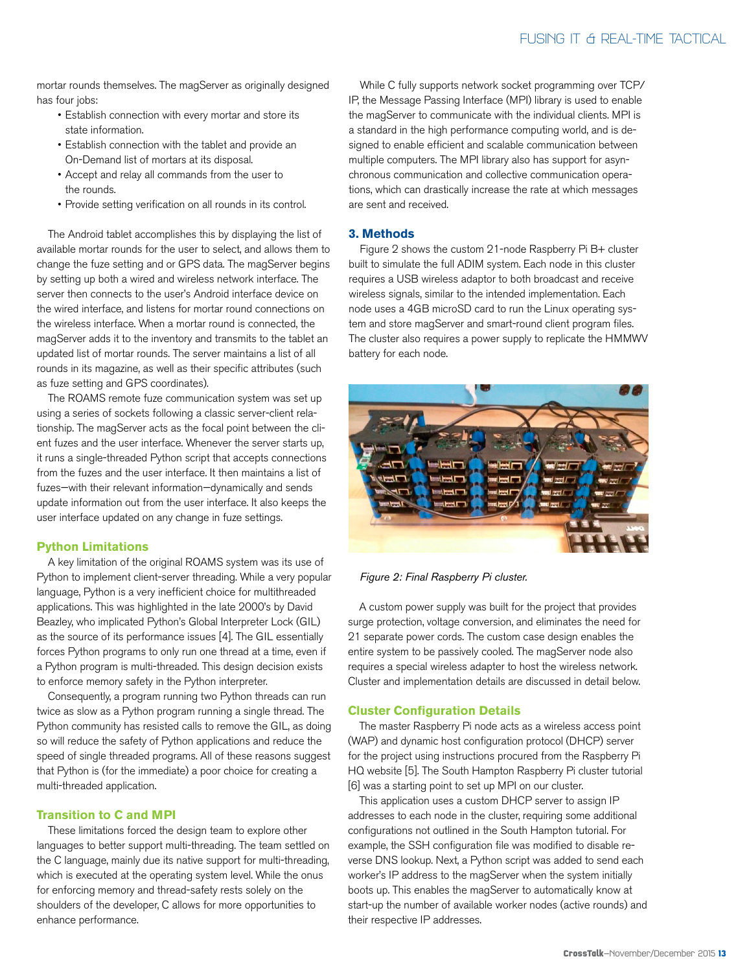mortar rounds themselves. The magServer as originally designed has four jobs:

- Establish connection with every mortar and store its state information.
- Establish connection with the tablet and provide an On-Demand list of mortars at its disposal.
- Accept and relay all commands from the user to the rounds.
- Provide setting verification on all rounds in its control.

The Android tablet accomplishes this by displaying the list of available mortar rounds for the user to select, and allows them to change the fuze setting and or GPS data. The magServer begins by setting up both a wired and wireless network interface. The server then connects to the user's Android interface device on the wired interface, and listens for mortar round connections on the wireless interface. When a mortar round is connected, the magServer adds it to the inventory and transmits to the tablet an updated list of mortar rounds. The server maintains a list of all rounds in its magazine, as well as their specific attributes (such as fuze setting and GPS coordinates).

The ROAMS remote fuze communication system was set up using a series of sockets following a classic server-client relationship. The magServer acts as the focal point between the client fuzes and the user interface. Whenever the server starts up, it runs a single-threaded Python script that accepts connections from the fuzes and the user interface. It then maintains a list of fuzes—with their relevant information—dynamically and sends update information out from the user interface. It also keeps the user interface updated on any change in fuze settings.

### **Python Limitations**

A key limitation of the original ROAMS system was its use of Python to implement client-server threading. While a very popular language, Python is a very inefficient choice for multithreaded applications. This was highlighted in the late 2000's by David Beazley, who implicated Python's Global Interpreter Lock (GIL) as the source of its performance issues [4]. The GIL essentially forces Python programs to only run one thread at a time, even if a Python program is multi-threaded. This design decision exists to enforce memory safety in the Python interpreter.

Consequently, a program running two Python threads can run twice as slow as a Python program running a single thread. The Python community has resisted calls to remove the GIL, as doing so will reduce the safety of Python applications and reduce the speed of single threaded programs. All of these reasons suggest that Python is (for the immediate) a poor choice for creating a multi-threaded application.

# **Transition to C and MPI**

These limitations forced the design team to explore other languages to better support multi-threading. The team settled on the C language, mainly due its native support for multi-threading, which is executed at the operating system level. While the onus for enforcing memory and thread-safety rests solely on the shoulders of the developer, C allows for more opportunities to enhance performance.

While C fully supports network socket programming over TCP/ IP, the Message Passing Interface (MPI) library is used to enable the magServer to communicate with the individual clients. MPI is a standard in the high performance computing world, and is designed to enable efficient and scalable communication between multiple computers. The MPI library also has support for asynchronous communication and collective communication operations, which can drastically increase the rate at which messages are sent and received.

# **3. Methods**

Figure 2 shows the custom 21-node Raspberry Pi B+ cluster built to simulate the full ADIM system. Each node in this cluster requires a USB wireless adaptor to both broadcast and receive wireless signals, similar to the intended implementation. Each node uses a 4GB microSD card to run the Linux operating system and store magServer and smart-round client program files. The cluster also requires a power supply to replicate the HMMWV battery for each node.



*Figure 2: Final Raspberry Pi cluster.*

A custom power supply was built for the project that provides surge protection, voltage conversion, and eliminates the need for 21 separate power cords. The custom case design enables the entire system to be passively cooled. The magServer node also requires a special wireless adapter to host the wireless network. Cluster and implementation details are discussed in detail below.

# **Cluster Configuration Details**

The master Raspberry Pi node acts as a wireless access point (WAP) and dynamic host configuration protocol (DHCP) server for the project using instructions procured from the Raspberry Pi HQ website [5]. The South Hampton Raspberry Pi cluster tutorial [6] was a starting point to set up MPI on our cluster.

This application uses a custom DHCP server to assign IP addresses to each node in the cluster, requiring some additional configurations not outlined in the South Hampton tutorial. For example, the SSH configuration file was modified to disable reverse DNS lookup. Next, a Python script was added to send each worker's IP address to the magServer when the system initially boots up. This enables the magServer to automatically know at start-up the number of available worker nodes (active rounds) and their respective IP addresses.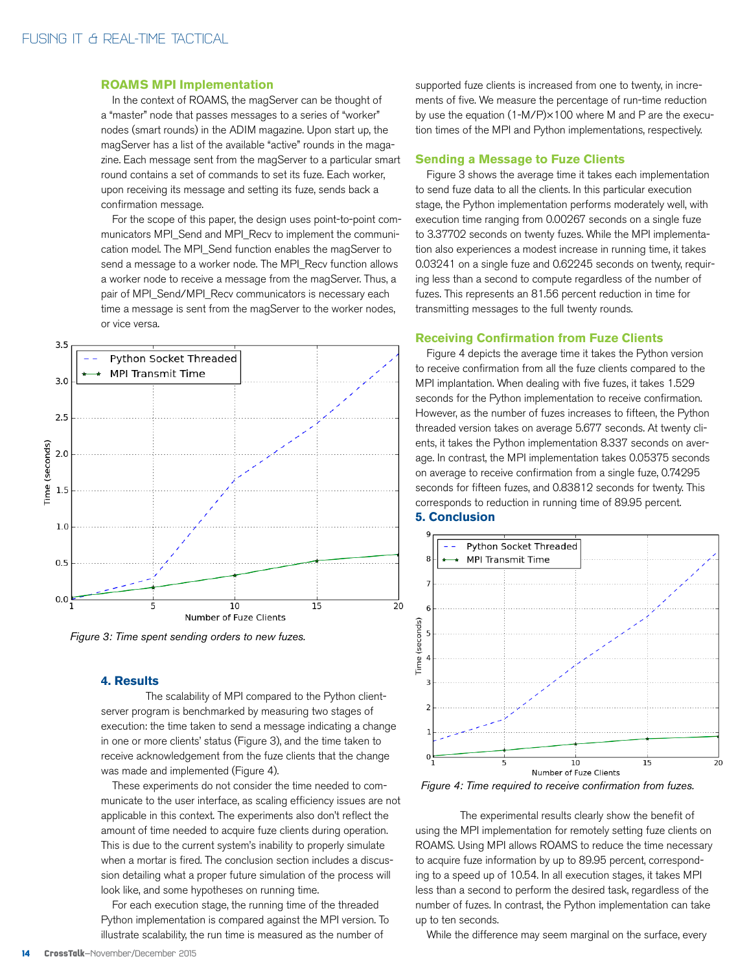#### **ROAMS MPI Implementation**

In the context of ROAMS, the magServer can be thought of a "master" node that passes messages to a series of "worker" nodes (smart rounds) in the ADIM magazine. Upon start up, the magServer has a list of the available "active" rounds in the magazine. Each message sent from the magServer to a particular smart round contains a set of commands to set its fuze. Each worker, upon receiving its message and setting its fuze, sends back a confirmation message.

For the scope of this paper, the design uses point-to-point communicators MPI\_Send and MPI\_Recv to implement the communication model. The MPI\_Send function enables the magServer to send a message to a worker node. The MPI\_Recv function allows a worker node to receive a message from the magServer. Thus, a pair of MPI\_Send/MPI\_Recv communicators is necessary each time a message is sent from the magServer to the worker nodes, or vice versa.



*Figure 3: Time spent sending orders to new fuzes.*

#### **4. Results**

The scalability of MPI compared to the Python clientserver program is benchmarked by measuring two stages of execution: the time taken to send a message indicating a change in one or more clients' status (Figure 3), and the time taken to receive acknowledgement from the fuze clients that the change was made and implemented (Figure 4).

These experiments do not consider the time needed to communicate to the user interface, as scaling efficiency issues are not applicable in this context. The experiments also don't reflect the amount of time needed to acquire fuze clients during operation. This is due to the current system's inability to properly simulate when a mortar is fired. The conclusion section includes a discussion detailing what a proper future simulation of the process will look like, and some hypotheses on running time.

For each execution stage, the running time of the threaded Python implementation is compared against the MPI version. To illustrate scalability, the run time is measured as the number of

supported fuze clients is increased from one to twenty, in increments of five. We measure the percentage of run-time reduction by use the equation (1-M/P)×100 where M and P are the execution times of the MPI and Python implementations, respectively.

#### **Sending a Message to Fuze Clients**

Figure 3 shows the average time it takes each implementation to send fuze data to all the clients. In this particular execution stage, the Python implementation performs moderately well, with execution time ranging from 0.00267 seconds on a single fuze to 3.37702 seconds on twenty fuzes. While the MPI implementation also experiences a modest increase in running time, it takes 0.03241 on a single fuze and 0.62245 seconds on twenty, requiring less than a second to compute regardless of the number of fuzes. This represents an 81.56 percent reduction in time for transmitting messages to the full twenty rounds.

#### **Receiving Confirmation from Fuze Clients**

Figure 4 depicts the average time it takes the Python version to receive confirmation from all the fuze clients compared to the MPI implantation. When dealing with five fuzes, it takes 1.529 seconds for the Python implementation to receive confirmation. However, as the number of fuzes increases to fifteen, the Python threaded version takes on average 5.677 seconds. At twenty clients, it takes the Python implementation 8.337 seconds on average. In contrast, the MPI implementation takes 0.05375 seconds on average to receive confirmation from a single fuze, 0.74295 seconds for fifteen fuzes, and 0.83812 seconds for twenty. This corresponds to reduction in running time of 89.95 percent. **5. Conclusion**



*Figure 4: Time required to receive confirmation from fuzes.*

The experimental results clearly show the benefit of using the MPI implementation for remotely setting fuze clients on ROAMS. Using MPI allows ROAMS to reduce the time necessary to acquire fuze information by up to 89.95 percent, corresponding to a speed up of 10.54. In all execution stages, it takes MPI less than a second to perform the desired task, regardless of the number of fuzes. In contrast, the Python implementation can take up to ten seconds.

While the difference may seem marginal on the surface, every